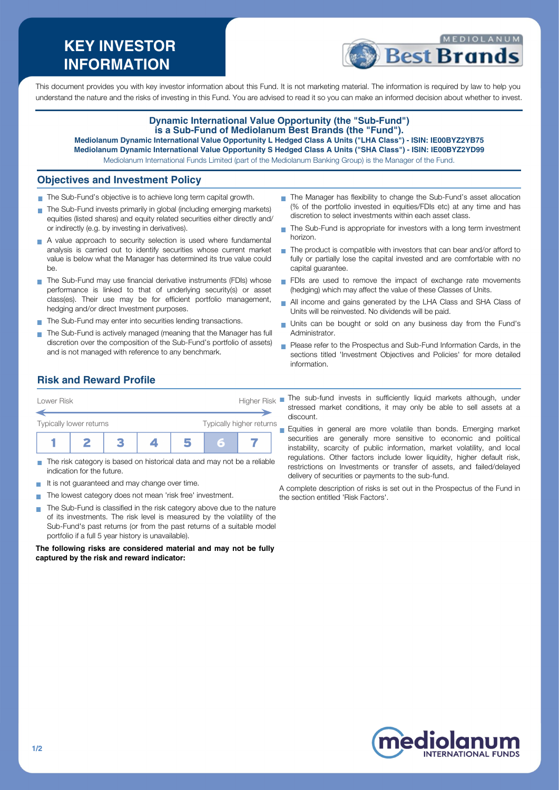# **KEY INVESTOR INFORMATION**



This document provides you with key investor information about this Fund. It is not marketing material. The information is required by law to help you understand the nature and the risks of investing in this Fund. You are advised to read it so you can make an informed decision about whether to invest.

#### **Dynamic International Value Opportunity (the "Sub-Fund") is a Sub-Fund of Mediolanum Best Brands (the "Fund"). Mediolanum Dynamic International Value Opportunity L Hedged Class A Units ("LHA Class") - ISIN: IE00BYZ2YB75**

**Mediolanum Dynamic International Value Opportunity S Hedged Class A Units ("SHA Class") - ISIN: IE00BYZ2YD99**

Mediolanum International Funds Limited (part of the Mediolanum Banking Group) is the Manager of the Fund.

#### **Objectives and Investment Policy**

- The Sub-Fund's objective is to achieve long term capital growth.
- The Sub-Fund invests primarily in global (including emerging markets) equities (listed shares) and equity related securities either directly and/ or indirectly (e.g. by investing in derivatives).
- A value approach to security selection is used where fundamental analysis is carried out to identify securities whose current market value is below what the Manager has determined its true value could be.
- The Sub-Fund may use financial derivative instruments (FDIs) whose performance is linked to that of underlying security(s) or asset class(es). Their use may be for efficient portfolio management, hedging and/or direct Investment purposes.
- The Sub-Fund may enter into securities lending transactions.
- The Sub-Fund is actively managed (meaning that the Manager has full discretion over the composition of the Sub-Fund's portfolio of assets) and is not managed with reference to any benchmark.
- The Manager has flexibility to change the Sub-Fund's asset allocation (% of the portfolio invested in equities/FDIs etc) at any time and has discretion to select investments within each asset class.
- ÷. The Sub-Fund is appropriate for investors with a long term investment horizon.
- The product is compatible with investors that can bear and/or afford to fully or partially lose the capital invested and are comfortable with no capital guarantee.
- FDIs are used to remove the impact of exchange rate movements (hedging) which may affect the value of these Classes of Units.
- All income and gains generated by the LHA Class and SHA Class of Units will be reinvested. No dividends will be paid.
- Units can be bought or sold on any business day from the Fund's Administrator.
- **Please refer to the Prospectus and Sub-Fund Information Cards, in the** sections titled 'Investment Objectives and Policies' for more detailed information.

## **Risk and Reward Profile**

| Lower Risk              |  |  |                          | <b>Higher Risk</b> |   |  |  |
|-------------------------|--|--|--------------------------|--------------------|---|--|--|
| Typically lower returns |  |  | Typically higher returns |                    |   |  |  |
|                         |  |  |                          |                    | Б |  |  |

- The risk category is based on historical data and may not be a reliable indication for the future.
- It is not guaranteed and may change over time. **CO**
- The lowest category does not mean 'risk free' investment.  $\blacksquare$
- The Sub-Fund is classified in the risk category above due to the nature of its investments. The risk level is measured by the volatility of the Sub-Fund's past returns (or from the past returns of a suitable model portfolio if a full 5 year history is unavailable).

**The following risks are considered material and may not be fully captured by the risk and reward indicator:**

The sub-fund invests in sufficiently liquid markets although, under stressed market conditions, it may only be able to sell assets at a discount.

Equities in general are more volatile than bonds. Emerging market securities are generally more sensitive to economic and political instability, scarcity of public information, market volatility, and local regulations. Other factors include lower liquidity, higher default risk, restrictions on Investments or transfer of assets, and failed/delayed delivery of securities or payments to the sub-fund.

A complete description of risks is set out in the Prospectus of the Fund in the section entitled 'Risk Factors'.